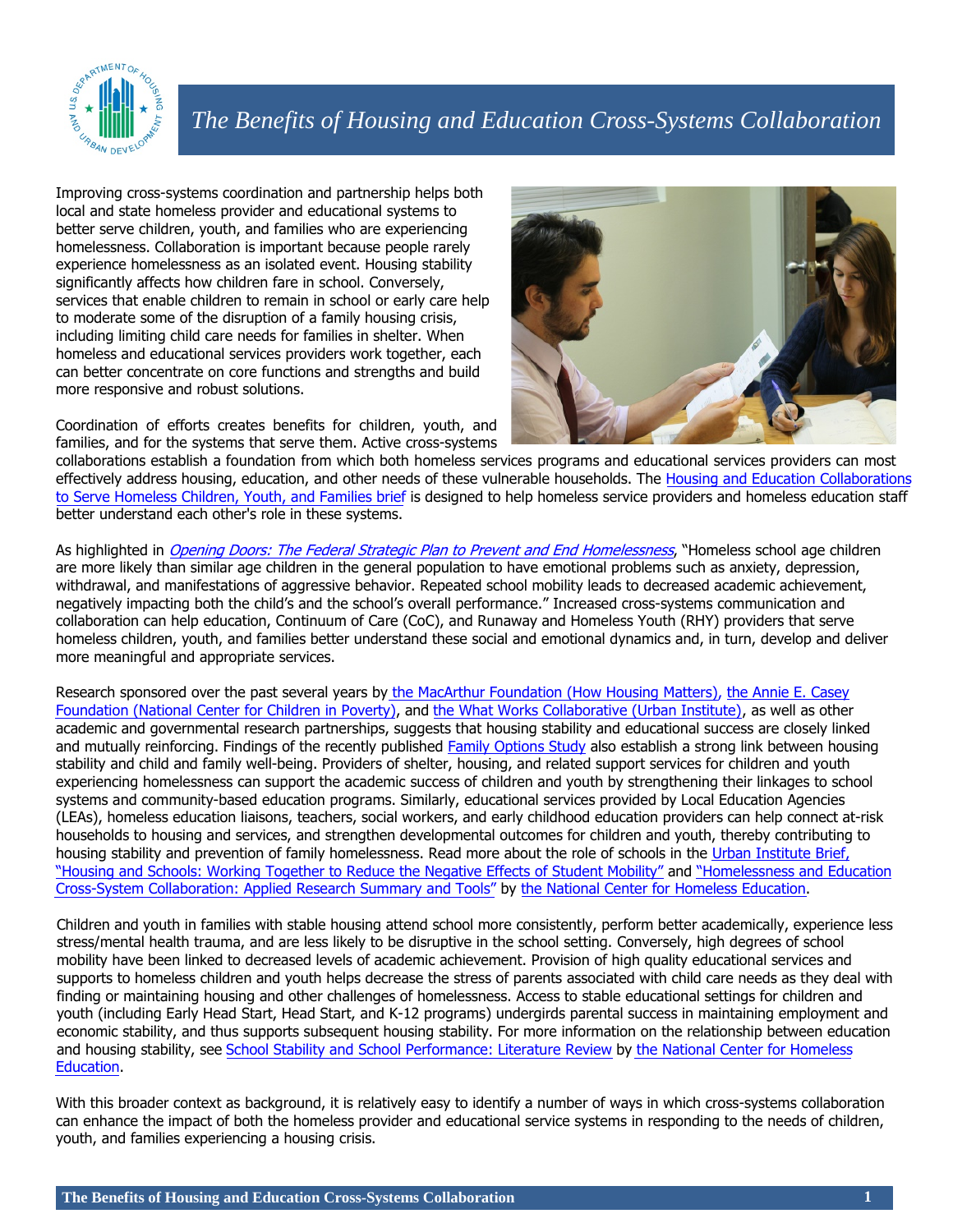

# *The Benefits of Housing and Education Cross-Systems Collaboration*

Improving cross-systems coordination and partnership helps both local and state homeless provider and educational systems to better serve children, youth, and families who are experiencing homelessness. Collaboration is important because people rarely experience homelessness as an isolated event. Housing stability significantly affects how children fare in school. Conversely, services that enable children to remain in school or early care help to moderate some of the disruption of a family housing crisis, including limiting child care needs for families in shelter. When homeless and educational services providers work together, each can better concentrate on core functions and strengths and build more responsive and robust solutions.

Coordination of efforts creates benefits for children, youth, and families, and for the systems that serve them. Active cross-systems



collaborations establish a foundation from which both homeless services programs and educational services providers can most effectively address housing, education, and other needs of these vulnerable households. The [Housing and Education Collaborations](https://www.hudexchange.info/resource/3079/housing-education-collaborations-homeless-children-youth-families/) [to Serve Homeless Children, Youth, and Families brief](https://www.hudexchange.info/resource/3079/housing-education-collaborations-homeless-children-youth-families/) is designed to help homeless service providers and homeless education staff better understand each other's role in these systems.

As highlighted in [Opening Doors: The Federal Strategic Plan to Prevent and End Homelessness](http://usich.gov/opening_doors/), "Homeless school age children are more likely than similar age children in the general population to have emotional problems such as anxiety, depression, withdrawal, and manifestations of aggressive behavior. Repeated school mobility leads to decreased academic achievement, negatively impacting both the child's and the school's overall performance." Increased cross-systems communication and collaboration can help education, Continuum of Care (CoC), and Runaway and Homeless Youth (RHY) providers that serve homeless children, youth, and families better understand these social and emotional dynamics and, in turn, develop and deliver more meaningful and appropriate services.

Research sponsored over the past several years by [the MacArthur Foundation \(How Housing Matters\),](https://www.macfound.org/press/article/how-housing-matters-research-briefs/) the Annie E. Casey [Foundation \(National Center for Children in Poverty\),](http://www.aecf.org/resources/rent-burden-housing-subsidies-and-the-well-being-of-children-and-youth/) and [the What Works Collaborative \(Urban Institute\),](http://www.urban.org/research/publication/housing-platform-improving-education-outcomes-among-low-income-children) as well as other academic and governmental research partnerships, suggests that housing stability and educational success are closely linked and mutually reinforcing. Findings of the recently published [Family Options Study](http://www.huduser.gov/portal/publications/affhsg/family_options_study.html) also establish a strong link between housing stability and child and family well-being. Providers of shelter, housing, and related support services for children and youth experiencing homelessness can support the academic success of children and youth by strengthening their linkages to school systems and community-based education programs. Similarly, educational services provided by Local Education Agencies (LEAs), homeless education liaisons, teachers, social workers, and early childhood education providers can help connect at-risk households to housing and services, and strengthen developmental outcomes for children and youth, thereby contributing to housing stability and prevention of family homelessness. Read more about the role of schools in the [Urban Institute Brief,](http://www.urban.org/sites/default/files/alfresco/publication-pdfs/412701-Housing-and-Schools-Working-Together-to-Reduce-the-Negative-Effects-of-Student-Mobility.PDF)  ["Housing and Schools: Working Together to Reduce the Negative Effects of Student Mobility"](http://www.urban.org/sites/default/files/alfresco/publication-pdfs/412701-Housing-and-Schools-Working-Together-to-Reduce-the-Negative-Effects-of-Student-Mobility.PDF) and "Homelessness and Education [Cross-System Collaboration: Applied Research Summary and Tools"](http://center.serve.org/nche/pr/res-cross-system.php) by [the National Center for Homeless Education.](http://center.serve.org/nche/index.php) 

Children and youth in families with stable housing attend school more consistently, perform better academically, experience less stress/mental health trauma, and are less likely to be disruptive in the school setting. Conversely, high degrees of school mobility have been linked to decreased levels of academic achievement. Provision of high quality educational services and supports to homeless children and youth helps decrease the stress of parents associated with child care needs as they deal with finding or maintaining housing and other challenges of homelessness. Access to stable educational settings for children and youth (including Early Head Start, Head Start, and K-12 programs) undergirds parental success in maintaining employment and economic stability, and thus supports subsequent housing stability. For more information on the relationship between education and housing stability, see [School Stability and School Performance: Literature Review](http://center.serve.org/nche/ibt/educ_mobile.php) by [the National Center for Homeless](http://center.serve.org/nche/index.php)  [Education.](http://center.serve.org/nche/index.php)

With this broader context as background, it is relatively easy to identify a number of ways in which cross-systems collaboration can enhance the impact of both the homeless provider and educational service systems in responding to the needs of children, youth, and families experiencing a housing crisis.